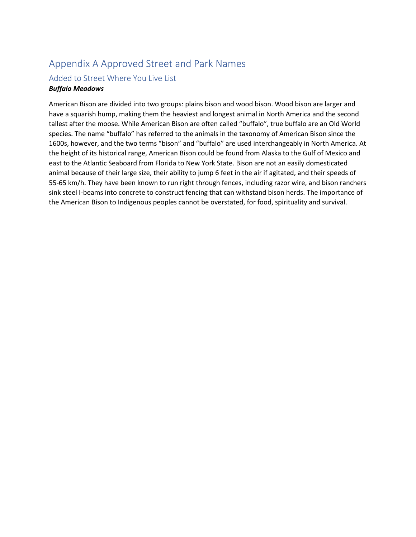## Appendix A Approved Street and Park Names

# Added to Street Where You Live List

### *Buffalo Meadows*

American Bison are divided into two groups: plains bison and wood bison. Wood bison are larger and have a squarish hump, making them the heaviest and longest animal in North America and the second tallest after the moose. While American Bison are often called "buffalo", true buffalo are an Old World species. The name "buffalo" has referred to the animals in the taxonomy of American Bison since the 1600s, however, and the two terms "bison" and "buffalo" are used interchangeably in North America. At the height of its historical range, American Bison could be found from Alaska to the Gulf of Mexico and east to the Atlantic Seaboard from Florida to New York State. Bison are not an easily domesticated animal because of their large size, their ability to jump 6 feet in the air if agitated, and their speeds of 55-65 km/h. They have been known to run right through fences, including razor wire, and bison ranchers sink steel I-beams into concrete to construct fencing that can withstand bison herds. The importance of the American Bison to Indigenous peoples cannot be overstated, for food, spirituality and survival.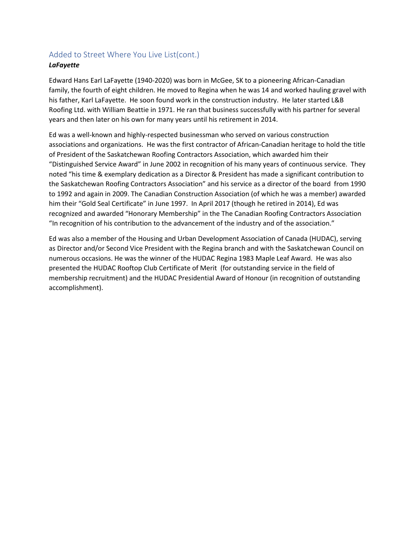### Added to Street Where You Live List(cont.)

### *LaFayette*

Edward Hans Earl LaFayette (1940-2020) was born in McGee, SK to a pioneering African-Canadian family, the fourth of eight children. He moved to Regina when he was 14 and worked hauling gravel with his father, Karl LaFayette. He soon found work in the construction industry. He later started L&B Roofing Ltd. with William Beattie in 1971. He ran that business successfully with his partner for several years and then later on his own for many years until his retirement in 2014.

Ed was a well-known and highly-respected businessman who served on various construction associations and organizations. He was the first contractor of African-Canadian heritage to hold the title of President of the Saskatchewan Roofing Contractors Association, which awarded him their "Distinguished Service Award" in June 2002 in recognition of his many years of continuous service. They noted "his time & exemplary dedication as a Director & President has made a significant contribution to the Saskatchewan Roofing Contractors Association" and his service as a director of the board from 1990 to 1992 and again in 2009. The Canadian Construction Association (of which he was a member) awarded him their "Gold Seal Certificate" in June 1997. In April 2017 (though he retired in 2014), Ed was recognized and awarded "Honorary Membership" in the The Canadian Roofing Contractors Association "In recognition of his contribution to the advancement of the industry and of the association."

Ed was also a member of the Housing and Urban Development Association of Canada (HUDAC), serving as Director and/or Second Vice President with the Regina branch and with the Saskatchewan Council on numerous occasions. He was the winner of the HUDAC Regina 1983 Maple Leaf Award. He was also presented the HUDAC Rooftop Club Certificate of Merit (for outstanding service in the field of membership recruitment) and the HUDAC Presidential Award of Honour (in recognition of outstanding accomplishment).